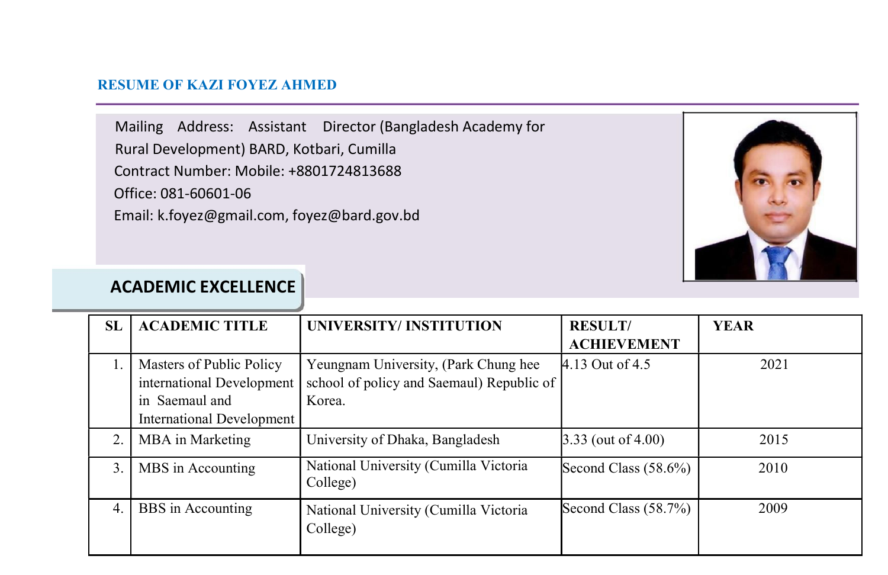#### RESUME OF KAZI FOYEZ AHMED

Mailing Address: Assistant Director (Bangladesh Academy for Rural Development) BARD, Kotbari, Cumilla Contract Number: Mobile: +8801724813688 Office: 081-60601-06 Email: k.foyez@gmail.com, foyez@bard.gov.bd



### ACADEMIC EXCELLENCE

| SL | <b>ACADEMIC TITLE</b>                                                                                | UNIVERSITY/INSTITUTION                                                                      | <b>RESULT/</b><br><b>ACHIEVEMENT</b> | <b>YEAR</b> |
|----|------------------------------------------------------------------------------------------------------|---------------------------------------------------------------------------------------------|--------------------------------------|-------------|
|    | Masters of Public Policy<br>international Development<br>in Saemaul and<br>International Development | Yeungnam University, (Park Chung hee<br>school of policy and Saemaul) Republic of<br>Korea. | 4.13 Out of 4.5                      | 2021        |
| 2. | MBA in Marketing                                                                                     | University of Dhaka, Bangladesh                                                             | $3.33$ (out of 4.00)                 | 2015        |
| 3. | MBS in Accounting                                                                                    | National University (Cumilla Victoria<br>College)                                           | Second Class $(58.6\%)$              | 2010        |
| 4. | BBS in Accounting                                                                                    | National University (Cumilla Victoria<br>College)                                           | Second Class (58.7%)                 | 2009        |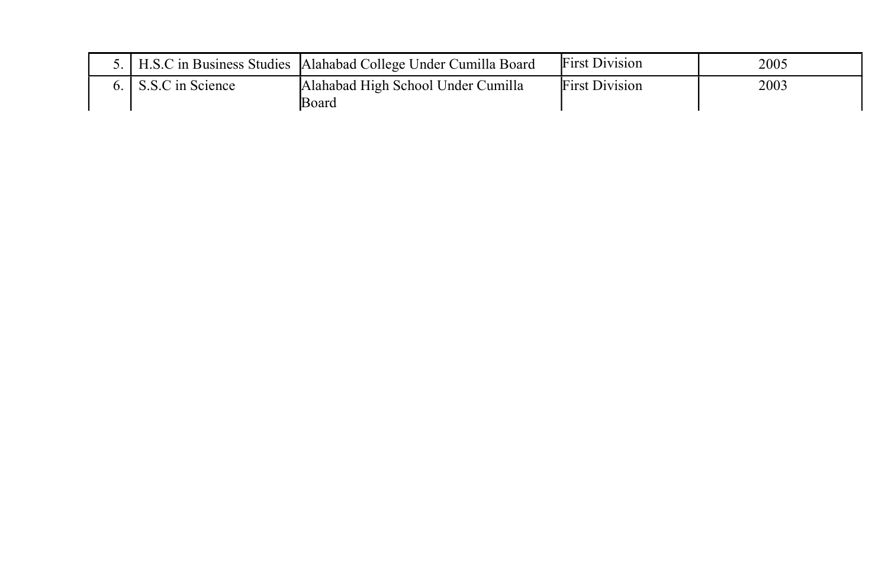|  |                     | 5.   H.S.C in Business Studies   Alahabad College Under Cumilla Board | <b>First Division</b> | 2005 |
|--|---------------------|-----------------------------------------------------------------------|-----------------------|------|
|  | 6. S.S.C in Science | Alahabad High School Under Cumilla                                    | <b>First Division</b> | 2003 |
|  |                     | lBoard                                                                |                       |      |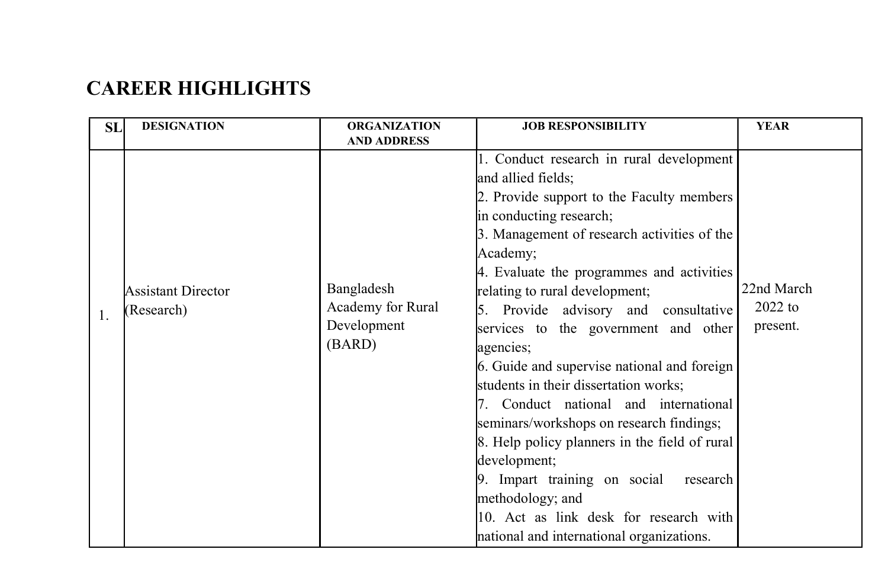# CAREER HIGHLIGHTS

| SL | <b>DESIGNATION</b> | <b>ORGANIZATION</b> | <b>JOB RESPONSIBILITY</b>                     | <b>YEAR</b> |
|----|--------------------|---------------------|-----------------------------------------------|-------------|
|    |                    | <b>AND ADDRESS</b>  |                                               |             |
|    |                    |                     | 1. Conduct research in rural development      |             |
|    |                    |                     | and allied fields;                            |             |
|    |                    |                     | 2. Provide support to the Faculty members     |             |
|    |                    |                     | in conducting research;                       |             |
|    |                    |                     | 3. Management of research activities of the   |             |
|    |                    |                     | Academy;                                      |             |
|    |                    |                     | 4. Evaluate the programmes and activities     |             |
|    | Assistant Director | Bangladesh          | relating to rural development;                | 22nd March  |
| 1. | (Research)         | Academy for Rural   | 5. Provide advisory and consultative          | $2022$ to   |
|    |                    | Development         | services to the government and other          | present.    |
|    |                    | (BARD)              | agencies;                                     |             |
|    |                    |                     | 6. Guide and supervise national and foreign   |             |
|    |                    |                     | students in their dissertation works;         |             |
|    |                    |                     | 7. Conduct national and international         |             |
|    |                    |                     | seminars/workshops on research findings;      |             |
|    |                    |                     | 8. Help policy planners in the field of rural |             |
|    |                    |                     | development;                                  |             |
|    |                    |                     | 9. Impart training on social<br>research      |             |
|    |                    |                     | methodology; and                              |             |
|    |                    |                     | 10. Act as link desk for research with        |             |
|    |                    |                     | national and international organizations.     |             |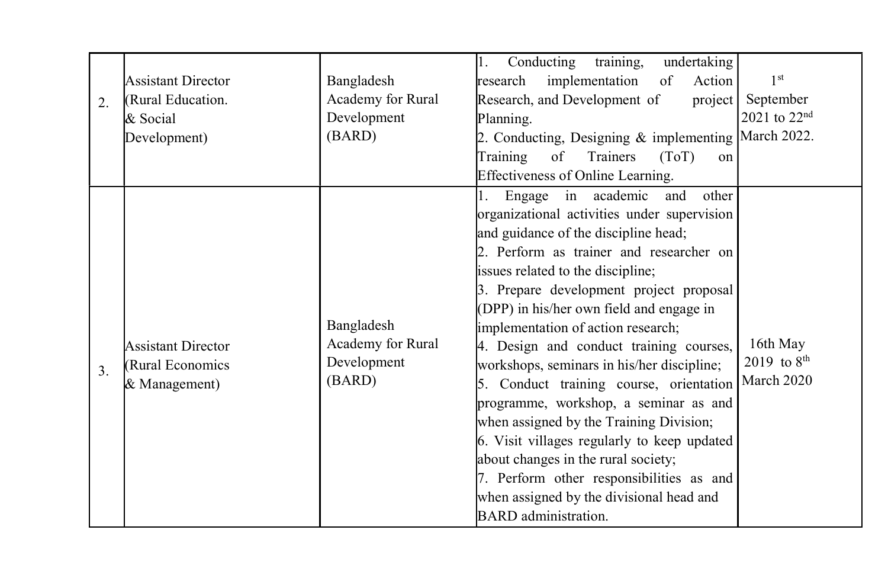| 2. | <b>Assistant Director</b><br>(Rural Education.<br>& Social<br>Development) | Bangladesh<br>Academy for Rural<br>Development<br>(BARD) | training,<br>Conducting<br>undertaking<br>$\mathbf{1}$ .<br>implementation<br>research<br>of<br>Action<br>Research, and Development of<br>project  <br>Planning.<br>2. Conducting, Designing & implementing March 2022.<br>of<br>Training<br>Trainers<br>(ToT)<br>on                                                                                                                                                                                                                                                                                                                                                                                                                                                                                                                                                      | 1 <sup>st</sup><br>September<br>2021 to 22 <sup>nd</sup> |
|----|----------------------------------------------------------------------------|----------------------------------------------------------|---------------------------------------------------------------------------------------------------------------------------------------------------------------------------------------------------------------------------------------------------------------------------------------------------------------------------------------------------------------------------------------------------------------------------------------------------------------------------------------------------------------------------------------------------------------------------------------------------------------------------------------------------------------------------------------------------------------------------------------------------------------------------------------------------------------------------|----------------------------------------------------------|
| 3. | <b>Assistant Director</b><br>(Rural Economics)<br>& Management)            | Bangladesh<br>Academy for Rural<br>Development<br>(BARD) | Effectiveness of Online Learning.<br>in academic<br>Engage<br>other<br>1.<br>and<br>organizational activities under supervision<br>and guidance of the discipline head;<br>2. Perform as trainer and researcher on<br>issues related to the discipline;<br>3. Prepare development project proposal<br>(DPP) in his/her own field and engage in<br>implementation of action research;<br>4. Design and conduct training courses,<br>workshops, seminars in his/her discipline;<br>5. Conduct training course, orientation<br>programme, workshop, a seminar as and<br>when assigned by the Training Division;<br>6. Visit villages regularly to keep updated<br>about changes in the rural society;<br>7. Perform other responsibilities as and<br>when assigned by the divisional head and<br><b>BARD</b> administration. | 16th May<br>2019 to $8^{th}$<br>March 2020               |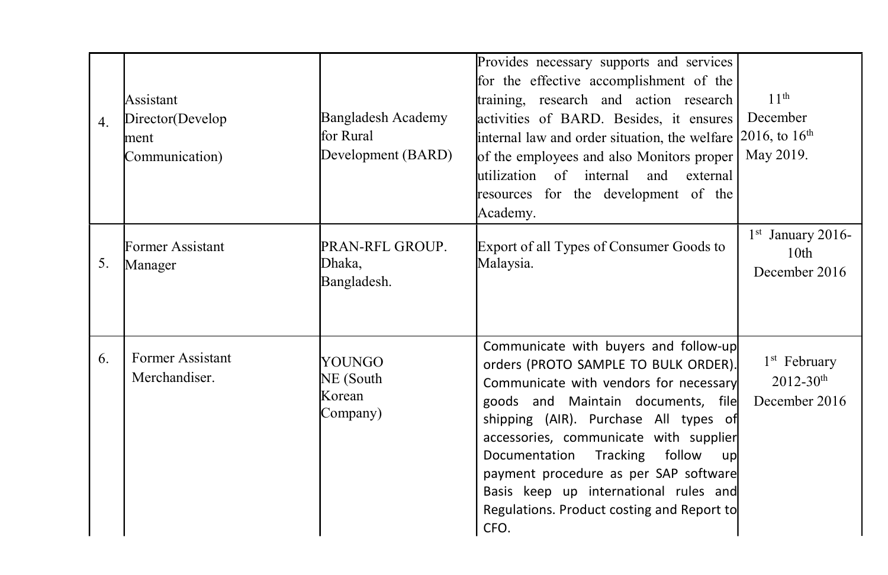| 4. | Assistant<br>Director(Develop<br>ment<br>Communication) | Bangladesh Academy<br>lfor Rural<br>Development (BARD) | Provides necessary supports and services<br>for the effective accomplishment of the<br>training, research and action research<br>activities of BARD. Besides, it ensures<br>internal law and order situation, the welfare $2016$ , to $16th$<br>of the employees and also Monitors proper<br>lutilization of internal<br>and<br>external<br>resources for the development of the<br>Academy.                                    | 11 <sup>th</sup><br>December<br>May 2019.                    |
|----|---------------------------------------------------------|--------------------------------------------------------|---------------------------------------------------------------------------------------------------------------------------------------------------------------------------------------------------------------------------------------------------------------------------------------------------------------------------------------------------------------------------------------------------------------------------------|--------------------------------------------------------------|
| 5. | Former Assistant<br>Manager                             | PRAN-RFL GROUP.<br>Dhaka.<br>Bangladesh.               | Export of all Types of Consumer Goods to<br>Malaysia.                                                                                                                                                                                                                                                                                                                                                                           | $1st$ January 2016-<br>10 <sub>th</sub><br>December 2016     |
| 6. | Former Assistant<br>Merchandiser.                       | YOUNGO<br>NE (South<br>Korean<br>Company)              | Communicate with buyers and follow-up<br>orders (PROTO SAMPLE TO BULK ORDER).<br>Communicate with vendors for necessary<br>goods and Maintain documents, file<br>shipping (AIR). Purchase All types of<br>accessories, communicate with supplier<br>Documentation Tracking follow<br>up<br>payment procedure as per SAP software<br>Basis keep up international rules and<br>Regulations. Product costing and Report to<br>CFO. | $1st$ February<br>$2012 - 30$ <sup>th</sup><br>December 2016 |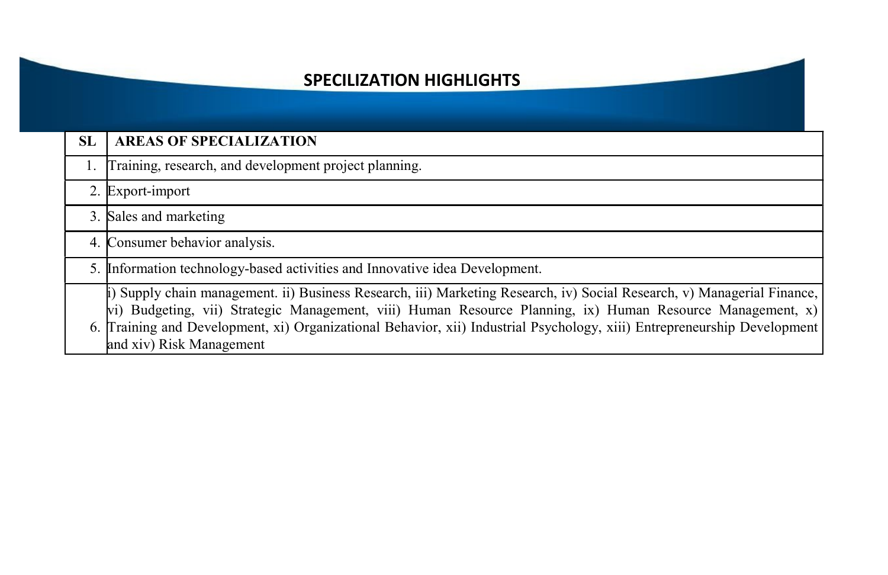#### SPECILIZATION HIGHLIGHTS

| SL | <b>AREAS OF SPECIALIZATION</b>                                                                                                                                                                                                                                                                                                                                                                |
|----|-----------------------------------------------------------------------------------------------------------------------------------------------------------------------------------------------------------------------------------------------------------------------------------------------------------------------------------------------------------------------------------------------|
|    | 1. Training, research, and development project planning.                                                                                                                                                                                                                                                                                                                                      |
|    | 2. Export-import                                                                                                                                                                                                                                                                                                                                                                              |
|    | 3. Sales and marketing                                                                                                                                                                                                                                                                                                                                                                        |
|    | 4. Consumer behavior analysis.                                                                                                                                                                                                                                                                                                                                                                |
|    | 5. Information technology-based activities and Innovative idea Development.                                                                                                                                                                                                                                                                                                                   |
|    | i) Supply chain management. ii) Business Research, iii) Marketing Research, iv) Social Research, v) Managerial Finance,<br>vi) Budgeting, vii) Strategic Management, viii) Human Resource Planning, ix) Human Resource Management, x)<br>6. Training and Development, xi) Organizational Behavior, xii) Industrial Psychology, xiii) Entrepreneurship Development<br>and xiv) Risk Management |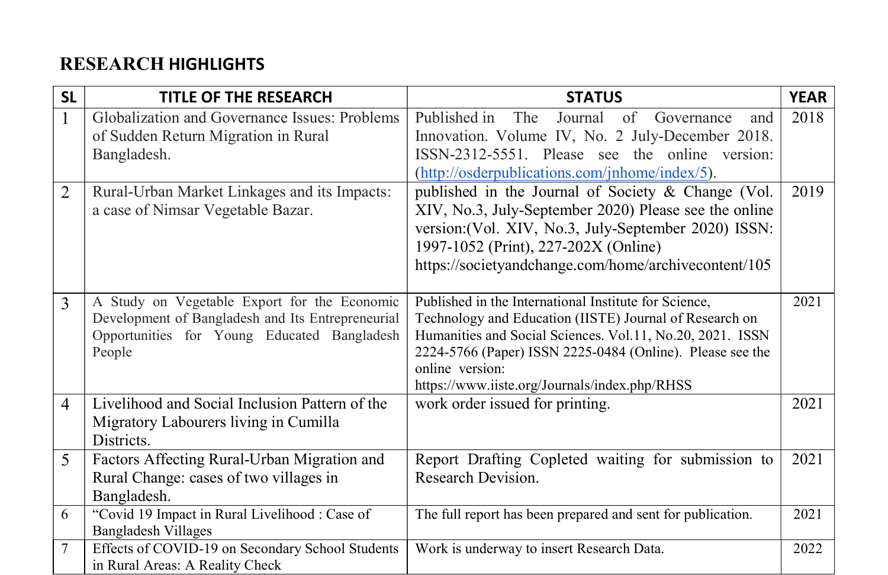### RESEARCH HIGHLIGHTS

| <b>SL</b>      | <b>TITLE OF THE RESEARCH</b>                                                                                                                               | <b>STATUS</b>                                                                                                                                                                                                                                                                                                  | <b>YEAR</b> |
|----------------|------------------------------------------------------------------------------------------------------------------------------------------------------------|----------------------------------------------------------------------------------------------------------------------------------------------------------------------------------------------------------------------------------------------------------------------------------------------------------------|-------------|
| $\mathbf{1}$   | Globalization and Governance Issues: Problems<br>of Sudden Return Migration in Rural<br>Bangladesh.                                                        | Published in<br>Journal<br>The<br>of Governance<br>and<br>Innovation. Volume IV, No. 2 July-December 2018.<br>ISSN-2312-5551. Please see the online version:<br>(http://osderpublications.com/jnhome/index/5).                                                                                                 | 2018        |
| $\overline{2}$ | Rural-Urban Market Linkages and its Impacts:<br>a case of Nimsar Vegetable Bazar.                                                                          | published in the Journal of Society & Change (Vol.<br>XIV, No.3, July-September 2020) Please see the online<br>version: (Vol. XIV, No.3, July-September 2020) ISSN:<br>1997-1052 (Print), 227-202X (Online)<br>https://societyandchange.com/home/archivecontent/105                                            | 2019        |
| 3              | A Study on Vegetable Export for the Economic<br>Development of Bangladesh and Its Entrepreneurial<br>Opportunities for Young Educated Bangladesh<br>People | Published in the International Institute for Science,<br>Technology and Education (IISTE) Journal of Research on<br>Humanities and Social Sciences. Vol.11, No.20, 2021. ISSN<br>2224-5766 (Paper) ISSN 2225-0484 (Online). Please see the<br>online version:<br>https://www.iiste.org/Journals/index.php/RHSS | 2021        |
| $\overline{4}$ | Livelihood and Social Inclusion Pattern of the<br>Migratory Labourers living in Cumilla<br>Districts.                                                      | work order issued for printing.                                                                                                                                                                                                                                                                                | 2021        |
| 5              | Factors Affecting Rural-Urban Migration and<br>Rural Change: cases of two villages in<br>Bangladesh.                                                       | Report Drafting Copleted waiting for submission to<br>Research Devision.                                                                                                                                                                                                                                       | 2021        |
| 6              | "Covid 19 Impact in Rural Livelihood : Case of<br><b>Bangladesh Villages</b>                                                                               | The full report has been prepared and sent for publication.                                                                                                                                                                                                                                                    | 2021        |
| 7              | Effects of COVID-19 on Secondary School Students<br>in Rural Areas: A Reality Check                                                                        | Work is underway to insert Research Data.                                                                                                                                                                                                                                                                      | 2022        |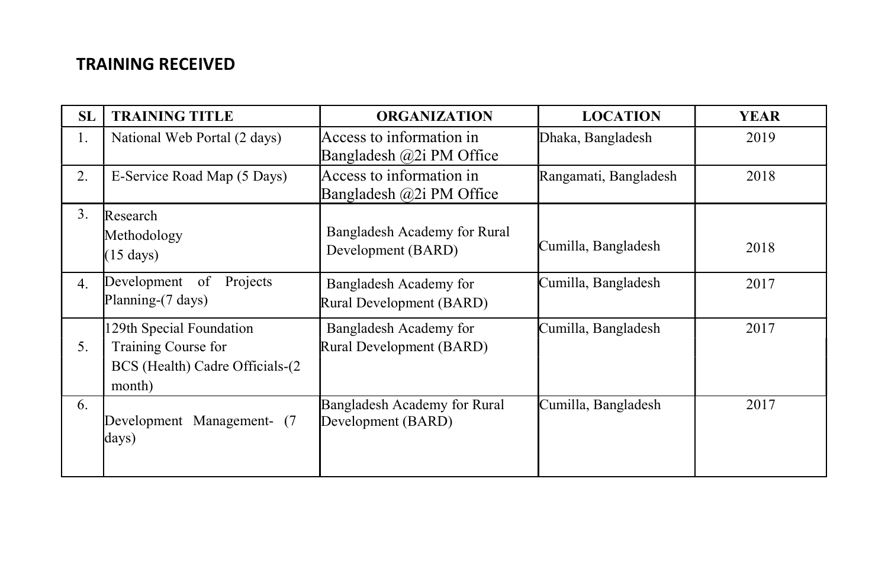#### TRAINING RECEIVED

| <b>SL</b> | <b>TRAINING TITLE</b>                                                                        | <b>ORGANIZATION</b>                                  | <b>LOCATION</b>       | <b>YEAR</b> |
|-----------|----------------------------------------------------------------------------------------------|------------------------------------------------------|-----------------------|-------------|
| 1.        | National Web Portal (2 days)                                                                 | Access to information in<br>Bangladesh @2i PM Office | Dhaka, Bangladesh     | 2019        |
| 2.        | E-Service Road Map (5 Days)                                                                  | Access to information in<br>Bangladesh @2i PM Office | Rangamati, Bangladesh | 2018        |
| 3.        | Research<br>Methodology<br>$(15 \text{ days})$                                               | Bangladesh Academy for Rural<br>Development (BARD)   | Cumilla, Bangladesh   | 2018        |
| 4.        | Projects<br>Development of<br>Planning-(7 days)                                              | Bangladesh Academy for<br>Rural Development (BARD)   | Cumilla, Bangladesh   | 2017        |
| 5.        | 129th Special Foundation<br>Training Course for<br>BCS (Health) Cadre Officials-(2<br>month) | Bangladesh Academy for<br>Rural Development (BARD)   | Cumilla, Bangladesh   | 2017        |
| 6.        | Development Management- (7<br>days)                                                          | Bangladesh Academy for Rural<br>Development (BARD)   | Cumilla, Bangladesh   | 2017        |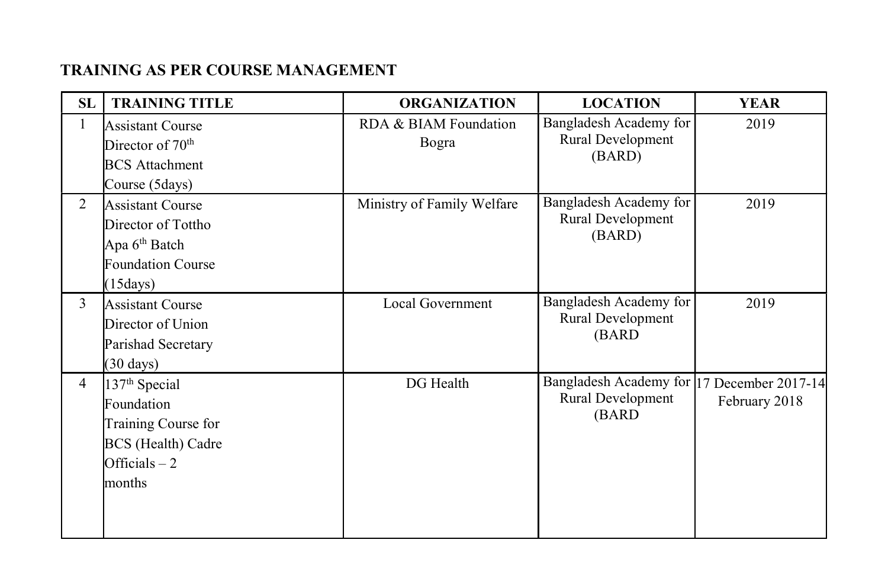#### TRAINING AS PER COURSE MANAGEMENT

| SL             | <b>TRAINING TITLE</b>                                                                                                   | <b>ORGANIZATION</b>            | <b>LOCATION</b>                                                          | <b>YEAR</b>   |
|----------------|-------------------------------------------------------------------------------------------------------------------------|--------------------------------|--------------------------------------------------------------------------|---------------|
| 1              | <b>Assistant Course</b><br>Director of 70 <sup>th</sup><br><b>BCS</b> Attachment<br>Course (5days)                      | RDA & BIAM Foundation<br>Bogra | Bangladesh Academy for<br>Rural Development<br>(BARD)                    | 2019          |
| 2              | <b>Assistant Course</b><br>Director of Tottho<br>Apa 6 <sup>th</sup> Batch<br><b>Foundation Course</b><br>(15 days)     | Ministry of Family Welfare     | Bangladesh Academy for<br>Rural Development<br>(BARD)                    | 2019          |
| 3              | <b>Assistant Course</b><br>Director of Union<br>Parishad Secretary<br>$(30 \text{ days})$                               | Local Government               | Bangladesh Academy for<br>Rural Development<br>(BARD)                    | 2019          |
| $\overline{4}$ | 137 <sup>th</sup> Special<br>Foundation<br>Training Course for<br><b>BCS</b> (Health) Cadre<br>Officials $-2$<br>months | DG Health                      | Bangladesh Academy for 17 December 2017-14<br>Rural Development<br>(BARD | February 2018 |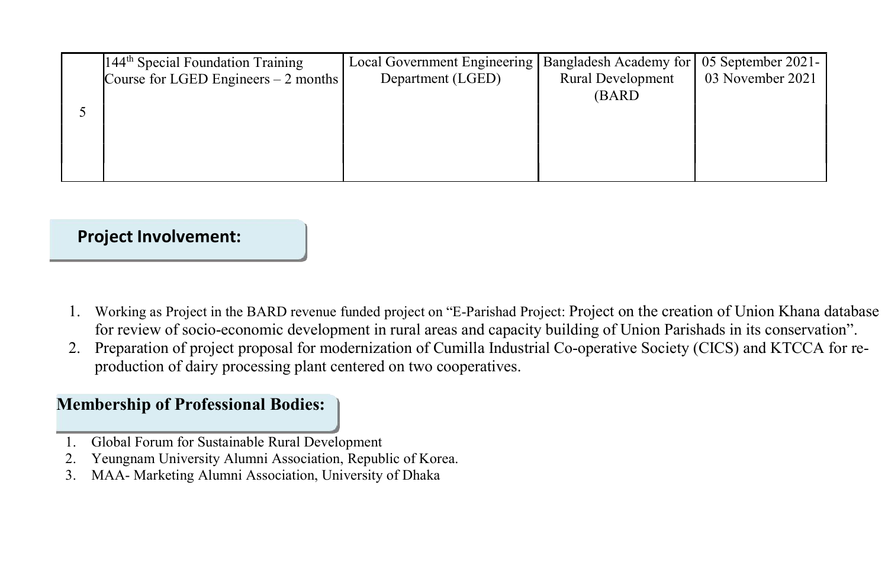| 144 <sup>th</sup> Special Foundation Training | Local Government Engineering | Bangladesh Academy for 05 September 2021- |                  |
|-----------------------------------------------|------------------------------|-------------------------------------------|------------------|
| Course for LGED Engineers $-2$ months         | Department (LGED)            | <b>Rural Development</b>                  | 03 November 2021 |
|                                               |                              | (BARD)                                    |                  |
|                                               |                              |                                           |                  |
|                                               |                              |                                           |                  |
|                                               |                              |                                           |                  |
|                                               |                              |                                           |                  |
|                                               |                              |                                           |                  |

#### Project Involvement:

- 1. Working as Project in the BARD revenue funded project on "E-Parishad Project: Project on the creation of Union Khana database for review of socio-economic development in rural areas and capacity building of Union Parishads in its conservation".
- 2. Preparation of project proposal for modernization of Cumilla Industrial Co-operative Society (CICS) and KTCCA for reproduction of dairy processing plant centered on two cooperatives.

#### Membership of Professional Bodies:

- 1. Global Forum for Sustainable Rural Development
- 2. Yeungnam University Alumni Association, Republic of Korea.
- 3. MAA- Marketing Alumni Association, University of Dhaka